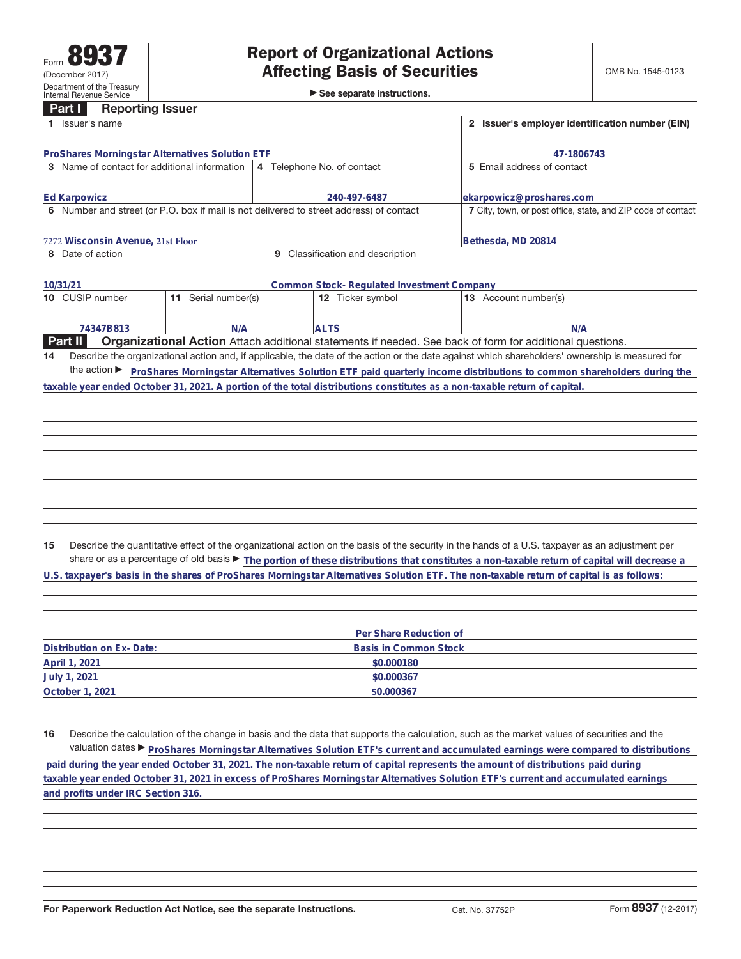|                                                                                                                                                                                                                                                                                                             | <b>Reporting Issuer</b><br>Part T               |                     |                                                 |                                  |                                                                                                                                                 |  |  |  |  |  |
|-------------------------------------------------------------------------------------------------------------------------------------------------------------------------------------------------------------------------------------------------------------------------------------------------------------|-------------------------------------------------|---------------------|-------------------------------------------------|----------------------------------|-------------------------------------------------------------------------------------------------------------------------------------------------|--|--|--|--|--|
|                                                                                                                                                                                                                                                                                                             | Issuer's name                                   |                     | 2 Issuer's employer identification number (EIN) |                                  |                                                                                                                                                 |  |  |  |  |  |
|                                                                                                                                                                                                                                                                                                             | ProShares Morningstar Alternatives Solution ETF |                     | 47-1806743                                      |                                  |                                                                                                                                                 |  |  |  |  |  |
|                                                                                                                                                                                                                                                                                                             | 3 Name of contact for additional information    |                     |                                                 | 4 Telephone No. of contact       | 5 Email address of contact                                                                                                                      |  |  |  |  |  |
| <b>Ed Karpowicz</b>                                                                                                                                                                                                                                                                                         |                                                 |                     |                                                 | 240-497-6487                     | ekarpowicz@proshares.com                                                                                                                        |  |  |  |  |  |
| 6 Number and street (or P.O. box if mail is not delivered to street address) of contact                                                                                                                                                                                                                     |                                                 |                     |                                                 |                                  | 7 City, town, or post office, state, and ZIP code of contact                                                                                    |  |  |  |  |  |
|                                                                                                                                                                                                                                                                                                             | 7272 Wisconsin Avenue, 21st Floor               |                     | Bethesda, MD 20814                              |                                  |                                                                                                                                                 |  |  |  |  |  |
| 8 Date of action                                                                                                                                                                                                                                                                                            |                                                 |                     |                                                 | 9 Classification and description |                                                                                                                                                 |  |  |  |  |  |
|                                                                                                                                                                                                                                                                                                             | 10/31/21                                        |                     | Common Stock- Regulated Investment Company      |                                  |                                                                                                                                                 |  |  |  |  |  |
|                                                                                                                                                                                                                                                                                                             | 10 CUSIP number                                 | 11 Serial number(s) |                                                 | 12 Ticker symbol                 | 13 Account number(s)                                                                                                                            |  |  |  |  |  |
|                                                                                                                                                                                                                                                                                                             | 74347B813                                       | N/A                 |                                                 | <b>ALTS</b>                      | N/A                                                                                                                                             |  |  |  |  |  |
|                                                                                                                                                                                                                                                                                                             | Part II                                         |                     |                                                 |                                  | Organizational Action Attach additional statements if needed. See back of form for additional questions.                                        |  |  |  |  |  |
| 14                                                                                                                                                                                                                                                                                                          |                                                 |                     |                                                 |                                  | Describe the organizational action and, if applicable, the date of the action or the date against which shareholders' ownership is measured for |  |  |  |  |  |
|                                                                                                                                                                                                                                                                                                             |                                                 |                     |                                                 |                                  |                                                                                                                                                 |  |  |  |  |  |
|                                                                                                                                                                                                                                                                                                             |                                                 |                     |                                                 |                                  | the action ► ProShares Morningstar Alternatives Solution ETF paid quarterly income distributions to common shareholders during the              |  |  |  |  |  |
| taxable year ended October 31, 2021. A portion of the total distributions constitutes as a non-taxable return of capital.                                                                                                                                                                                   |                                                 |                     |                                                 |                                  |                                                                                                                                                 |  |  |  |  |  |
|                                                                                                                                                                                                                                                                                                             |                                                 |                     |                                                 |                                  |                                                                                                                                                 |  |  |  |  |  |
|                                                                                                                                                                                                                                                                                                             |                                                 |                     |                                                 |                                  |                                                                                                                                                 |  |  |  |  |  |
|                                                                                                                                                                                                                                                                                                             |                                                 |                     |                                                 |                                  |                                                                                                                                                 |  |  |  |  |  |
|                                                                                                                                                                                                                                                                                                             |                                                 |                     |                                                 |                                  |                                                                                                                                                 |  |  |  |  |  |
|                                                                                                                                                                                                                                                                                                             |                                                 |                     |                                                 |                                  |                                                                                                                                                 |  |  |  |  |  |
|                                                                                                                                                                                                                                                                                                             |                                                 |                     |                                                 |                                  |                                                                                                                                                 |  |  |  |  |  |
|                                                                                                                                                                                                                                                                                                             |                                                 |                     |                                                 |                                  |                                                                                                                                                 |  |  |  |  |  |
|                                                                                                                                                                                                                                                                                                             |                                                 |                     |                                                 |                                  |                                                                                                                                                 |  |  |  |  |  |
|                                                                                                                                                                                                                                                                                                             |                                                 |                     |                                                 |                                  |                                                                                                                                                 |  |  |  |  |  |
|                                                                                                                                                                                                                                                                                                             |                                                 |                     |                                                 |                                  |                                                                                                                                                 |  |  |  |  |  |
|                                                                                                                                                                                                                                                                                                             |                                                 |                     |                                                 |                                  |                                                                                                                                                 |  |  |  |  |  |
| 15                                                                                                                                                                                                                                                                                                          |                                                 |                     |                                                 |                                  | Describe the quantitative effect of the organizational action on the basis of the security in the hands of a U.S. taxpayer as an adjustment per |  |  |  |  |  |
|                                                                                                                                                                                                                                                                                                             |                                                 |                     |                                                 |                                  |                                                                                                                                                 |  |  |  |  |  |
| share or as a percentage of old basis $\blacktriangleright$ The portion of these distributions that constitutes a non-taxable return of capital will decrease a<br>U.S. taxpayer's basis in the shares of ProShares Morningstar Alternatives Solution ETF. The non-taxable return of capital is as follows: |                                                 |                     |                                                 |                                  |                                                                                                                                                 |  |  |  |  |  |
|                                                                                                                                                                                                                                                                                                             |                                                 |                     |                                                 |                                  |                                                                                                                                                 |  |  |  |  |  |
|                                                                                                                                                                                                                                                                                                             |                                                 |                     |                                                 |                                  |                                                                                                                                                 |  |  |  |  |  |
|                                                                                                                                                                                                                                                                                                             |                                                 |                     |                                                 |                                  |                                                                                                                                                 |  |  |  |  |  |
|                                                                                                                                                                                                                                                                                                             |                                                 |                     |                                                 |                                  |                                                                                                                                                 |  |  |  |  |  |
|                                                                                                                                                                                                                                                                                                             | Per Share Reduction of                          |                     |                                                 |                                  |                                                                                                                                                 |  |  |  |  |  |

|                          | Per Share Requetion of |  |
|--------------------------|------------------------|--|
| Distribution on Ex-Date: | Basis in Common Stock  |  |
| April 1, 2021            | \$0,000180             |  |
| July 1, 2021             | \$0.000367             |  |
| October 1, 2021          | \$0.000367             |  |
|                          |                        |  |

**16** Describe the calculation of the change in basis and the data that supports the calculation, such as the market values of securities and the valuation dates ▶ ProShares Morningstar Alternatives Solution ETF's current and accumulated earnings were compared to distributions  **paid during the year ended October 31, 2021. The non-taxable return of capital represents the amount of distributions paid during taxable year ended October 31, 2021 in excess of ProShares Morningstar Alternatives Solution ETF's current and accumulated earnings and profits under IRC Section 316.**